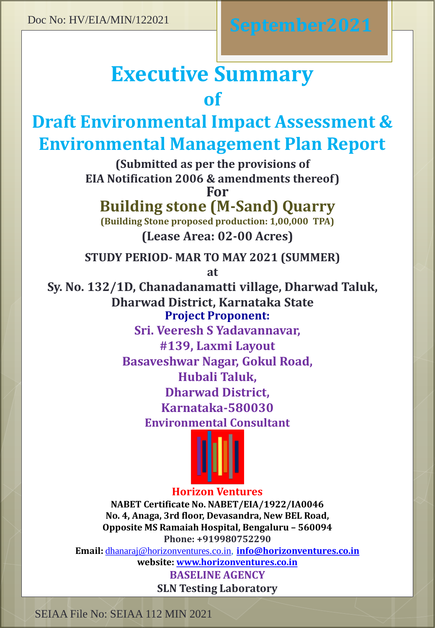# **Executive Summary of**

# **Draft Environmental Impact Assessment & Environmental Management Plan Report**

**(Submitted as per the provisions of EIA Notification 2006 & amendments thereof)**

**For**

# **Building stone (M-Sand) Quarry**

**(Lease Area: 02-00 Acres) (Building Stone proposed production: 1,00,000 TPA)**

**STUDY PERIOD- MAR TO MAY 2021 (SUMMER)**

**at**

**Sy. No. 132/1D, Chanadanamatti village, Dharwad Taluk, Dharwad District, Karnataka State Project Proponent:**

> **Sri. Veeresh S Yadavannavar, #139, Laxmi Layout Basaveshwar Nagar, Gokul Road, Hubali Taluk, Dharwad District, Karnataka-580030 Environmental Consultant**



# **Horizon Ventures**

**NABET Certificate No. NABET/EIA/1922/IA0046 No. 4, Anaga, 3rd floor, Devasandra, New BEL Road, Opposite MS Ramaiah Hospital, Bengaluru – 560094 Phone: +919980752290**

**Email:** [dhanaraj@horizonventures.co.in](mailto:dhanaraj@horizonventures.co.in), **[info@horizonventures.co.in](mailto:info@horizonventures.co.in)**

**website: [www.horizonventures.co.in](http://www.horizonventures.co.in/) BASELINE AGENCY**

**SLN Testing Laboratory**

SEIAA File No: SEIAA 112 MIN 2021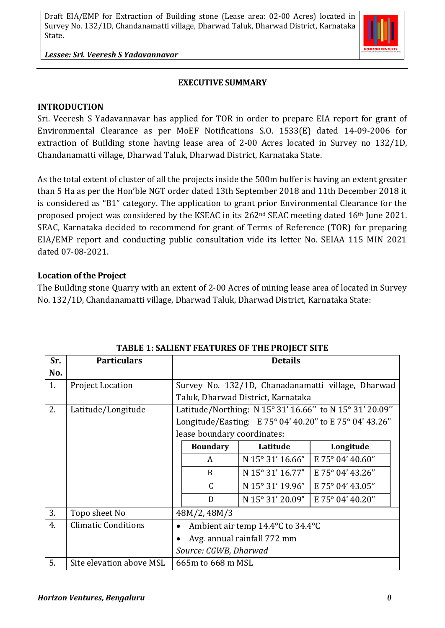*Lessee: Sri. Veeresh S Yadavannavar*

#### **EXECUTIVE SUMMARY**

#### **INTRODUCTION**

Sri. Veeresh S Yadavannavar has applied for TOR in order to prepare EIA report for grant of Environmental Clearance as per MoEF Notifications S.O. 1533(E) dated 14-09-2006 for extraction of Building stone having lease area of 2-00 Acres located in Survey no 132/1D, Chandanamatti village, Dharwad Taluk, Dharwad District, Karnataka State.

As the total extent of cluster of all the projects inside the 500m buffer is having an extent greater than 5 Ha as per the Hon'ble NGT order dated 13th September 2018 and 11th December 2018 it is considered as "B1" category. The application to grant prior Environmental Clearance for the proposed project was considered by the KSEAC in its 262nd SEAC meeting dated 16th June 2021. SEAC, Karnataka decided to recommend for grant of Terms of Reference (TOR) for preparing EIA/EMP report and conducting public consultation vide its letter No. SEIAA 115 MIN 2021 dated 07-08-2021.

#### **Location of the Project**

The Building stone Quarry with an extent of 2-00 Acres of mining lease area of located in Survey No. 132/1D, Chandanamatti village, Dharwad Taluk, Dharwad District, Karnataka State:

| Sr. | <b>Particulars</b>         | <b>Details</b>                                          |                                                         |                  |                  |  |
|-----|----------------------------|---------------------------------------------------------|---------------------------------------------------------|------------------|------------------|--|
| No. |                            |                                                         |                                                         |                  |                  |  |
| 1.  | <b>Project Location</b>    |                                                         | Survey No. 132/1D, Chanadanamatti village, Dharwad      |                  |                  |  |
|     |                            | Taluk, Dharwad District, Karnataka                      |                                                         |                  |                  |  |
| 2.  | Latitude/Longitude         |                                                         | Latitude/Northing: N 15° 31' 16.66" to N 15° 31' 20.09" |                  |                  |  |
|     |                            | Longitude/Easting: E 75° 04' 40.20" to E 75° 04' 43.26" |                                                         |                  |                  |  |
|     |                            | lease boundary coordinates:                             |                                                         |                  |                  |  |
|     |                            |                                                         | <b>Boundary</b>                                         | Latitude         | Longitude        |  |
|     |                            |                                                         | A                                                       | N 15° 31' 16.66" | E 75° 04' 40.60" |  |
|     |                            |                                                         | <sub>B</sub>                                            | N 15° 31' 16.77" | E 75° 04' 43.26" |  |
|     |                            |                                                         | $\mathsf{C}$                                            | N 15° 31' 19.96" | E 75° 04' 43.05" |  |
|     |                            |                                                         | D                                                       | N 15° 31' 20.09" | E 75° 04' 40.20" |  |
| 3.  | Topo sheet No              |                                                         | 48M/2, 48M/3                                            |                  |                  |  |
| 4.  | <b>Climatic Conditions</b> | $\bullet$                                               | Ambient air temp 14.4°C to 34.4°C                       |                  |                  |  |
|     |                            |                                                         | Avg. annual rainfall 772 mm                             |                  |                  |  |
|     |                            | Source: CGWB, Dharwad                                   |                                                         |                  |                  |  |
| 5.  | Site elevation above MSL   |                                                         | 665m to 668 m MSL                                       |                  |                  |  |

#### **TABLE 1: SALIENT FEATURES OF THE PROJECT SITE**

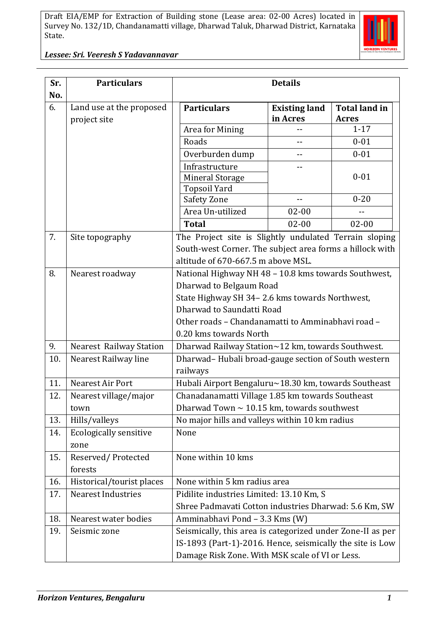

*Lessee: Sri. Veeresh S Yadavannavar*

| Sr. | <b>Particulars</b>                       | <b>Details</b>                                             |                                  |                                      |  |  |  |
|-----|------------------------------------------|------------------------------------------------------------|----------------------------------|--------------------------------------|--|--|--|
| No. |                                          |                                                            |                                  |                                      |  |  |  |
| 6.  | Land use at the proposed<br>project site | <b>Particulars</b>                                         | <b>Existing land</b><br>in Acres | <b>Total land in</b><br><b>Acres</b> |  |  |  |
|     |                                          | Area for Mining                                            |                                  | $1 - 17$                             |  |  |  |
|     |                                          | Roads                                                      | --                               | $0 - 01$                             |  |  |  |
|     |                                          | Overburden dump                                            |                                  | $0 - 01$                             |  |  |  |
|     |                                          | Infrastructure                                             |                                  |                                      |  |  |  |
|     |                                          | <b>Mineral Storage</b>                                     |                                  | $0 - 01$                             |  |  |  |
|     |                                          | <b>Topsoil Yard</b>                                        |                                  |                                      |  |  |  |
|     |                                          | Safety Zone                                                |                                  | $0 - 20$                             |  |  |  |
|     |                                          | Area Un-utilized                                           | $02 - 00$                        |                                      |  |  |  |
|     |                                          | <b>Total</b>                                               | $02 - 00$                        | $02 - 00$                            |  |  |  |
| 7.  | Site topography                          | The Project site is Slightly undulated Terrain sloping     |                                  |                                      |  |  |  |
|     |                                          | South-west Corner. The subject area forms a hillock with   |                                  |                                      |  |  |  |
|     |                                          | altitude of 670-667.5 m above MSL.                         |                                  |                                      |  |  |  |
| 8.  | Nearest roadway                          | National Highway NH 48 - 10.8 kms towards Southwest,       |                                  |                                      |  |  |  |
|     |                                          | Dharwad to Belgaum Road                                    |                                  |                                      |  |  |  |
|     |                                          | State Highway SH 34-2.6 kms towards Northwest,             |                                  |                                      |  |  |  |
|     |                                          | Dharwad to Saundatti Road                                  |                                  |                                      |  |  |  |
|     |                                          | Other roads - Chandanamatti to Amminabhavi road -          |                                  |                                      |  |  |  |
|     |                                          | 0.20 kms towards North                                     |                                  |                                      |  |  |  |
| 9.  | <b>Nearest Railway Station</b>           | Dharwad Railway Station~12 km, towards Southwest.          |                                  |                                      |  |  |  |
| 10. | Nearest Railway line                     | Dharwad-Hubali broad-gauge section of South western        |                                  |                                      |  |  |  |
|     |                                          | railways                                                   |                                  |                                      |  |  |  |
| 11. | Nearest Air Port                         | Hubali Airport Bengaluru~18.30 km, towards Southeast       |                                  |                                      |  |  |  |
| 12. | Nearest village/major                    | Chanadanamatti Village 1.85 km towards Southeast           |                                  |                                      |  |  |  |
|     | town                                     | Dharwad Town $\sim$ 10.15 km, towards southwest            |                                  |                                      |  |  |  |
| 13. | Hills/valleys                            | No major hills and valleys within 10 km radius             |                                  |                                      |  |  |  |
| 14. | <b>Ecologically sensitive</b>            | None                                                       |                                  |                                      |  |  |  |
|     | zone                                     |                                                            |                                  |                                      |  |  |  |
| 15. | Reserved/Protected                       | None within 10 kms                                         |                                  |                                      |  |  |  |
|     | forests                                  |                                                            |                                  |                                      |  |  |  |
| 16. | Historical/tourist places                | None within 5 km radius area                               |                                  |                                      |  |  |  |
| 17. | <b>Nearest Industries</b>                | Pidilite industries Limited: 13.10 Km, S                   |                                  |                                      |  |  |  |
|     |                                          | Shree Padmavati Cotton industries Dharwad: 5.6 Km, SW      |                                  |                                      |  |  |  |
| 18. | Nearest water bodies                     |                                                            | Amminabhavi Pond - 3.3 Kms (W)   |                                      |  |  |  |
| 19. | Seismic zone                             | Seismically, this area is categorized under Zone-II as per |                                  |                                      |  |  |  |
|     |                                          | IS-1893 (Part-1)-2016. Hence, seismically the site is Low  |                                  |                                      |  |  |  |
|     |                                          | Damage Risk Zone. With MSK scale of VI or Less.            |                                  |                                      |  |  |  |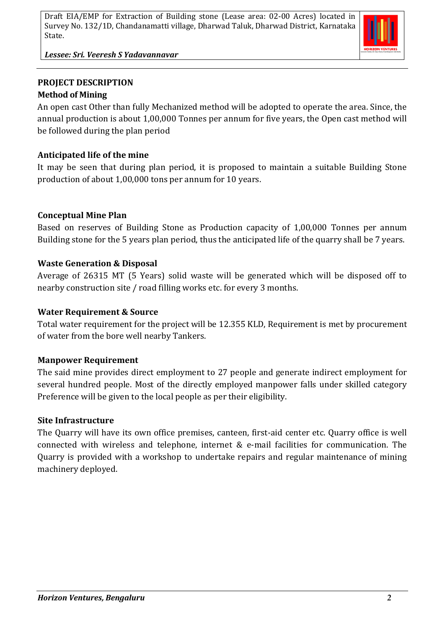

*Lessee: Sri. Veeresh S Yadavannavar*

# **PROJECT DESCRIPTION Method of Mining**

An open cast Other than fully Mechanized method will be adopted to operate the area. Since, the annual production is about 1,00,000 Tonnes per annum for five years, the Open cast method will be followed during the plan period

# **Anticipated life of the mine**

It may be seen that during plan period, it is proposed to maintain a suitable Building Stone production of about 1,00,000 tons per annum for 10 years.

# **Conceptual Mine Plan**

Based on reserves of Building Stone as Production capacity of 1,00,000 Tonnes per annum Building stone for the 5 years plan period, thus the anticipated life of the quarry shall be 7 years.

# **Waste Generation & Disposal**

Average of 26315 MT (5 Years) solid waste will be generated which will be disposed off to nearby construction site / road filling works etc. for every 3 months.

# **Water Requirement & Source**

Total water requirement for the project will be 12.355 KLD, Requirement is met by procurement of water from the bore well nearby Tankers.

# **Manpower Requirement**

The said mine provides direct employment to 27 people and generate indirect employment for several hundred people. Most of the directly employed manpower falls under skilled category Preference will be given to the local people as per their eligibility.

# **Site Infrastructure**

The Quarry will have its own office premises, canteen, first-aid center etc. Quarry office is well connected with wireless and telephone, internet & e-mail facilities for communication. The Quarry is provided with a workshop to undertake repairs and regular maintenance of mining machinery deployed.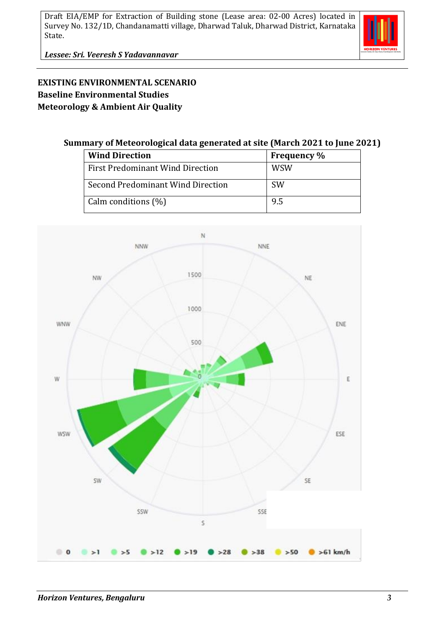

*Lessee: Sri. Veeresh S Yadavannavar*

# **EXISTING ENVIRONMENTAL SCENARIO Baseline Environmental Studies Meteorology & Ambient Air Quality**

#### **Summary of Meteorological data generated at site (March 2021 to June 2021)**

| <b>Wind Direction</b>                   | <b>Frequency</b> % |  |
|-----------------------------------------|--------------------|--|
| <b>First Predominant Wind Direction</b> | <b>WSW</b>         |  |
| Second Predominant Wind Direction       | <b>SW</b>          |  |
| Calm conditions $(\%)$                  | 9.5                |  |

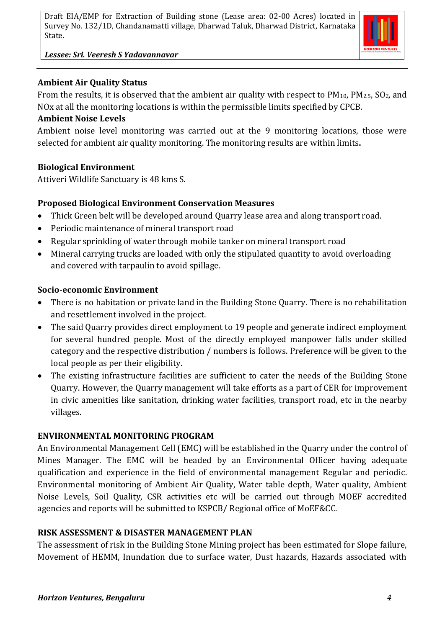

#### *Lessee: Sri. Veeresh S Yadavannavar*

#### **Ambient Air Quality Status**

From the results, it is observed that the ambient air quality with respect to  $PM_{10}$ ,  $PM_{2.5}$ ,  $SO_2$ , and NOx at all the monitoring locations is within the permissible limits specified by CPCB.

#### **Ambient Noise Levels**

Ambient noise level monitoring was carried out at the 9 monitoring locations, those were selected for ambient air quality monitoring. The monitoring results are within limits**.**

#### **Biological Environment**

Attiveri Wildlife Sanctuary is 48 kms S.

# **Proposed Biological Environment Conservation Measures**

- Thick Green belt will be developed around Quarry lease area and along transport road.
- Periodic maintenance of mineral transport road
- Regular sprinkling of water through mobile tanker on mineral transport road
- Mineral carrying trucks are loaded with only the stipulated quantity to avoid overloading and covered with tarpaulin to avoid spillage.

#### **Socio-economic Environment**

- There is no habitation or private land in the Building Stone Quarry. There is no rehabilitation and resettlement involved in the project.
- The said Quarry provides direct employment to 19 people and generate indirect employment for several hundred people. Most of the directly employed manpower falls under skilled category and the respective distribution / numbers is follows. Preference will be given to the local people as per their eligibility.
- The existing infrastructure facilities are sufficient to cater the needs of the Building Stone Quarry. However, the Quarry management will take efforts as a part of CER for improvement in civic amenities like sanitation, drinking water facilities, transport road, etc in the nearby villages.

# **ENVIRONMENTAL MONITORING PROGRAM**

An Environmental Management Cell (EMC) will be established in the Quarry under the control of Mines Manager. The EMC will be headed by an Environmental Officer having adequate qualification and experience in the field of environmental management Regular and periodic. Environmental monitoring of Ambient Air Quality, Water table depth, Water quality, Ambient Noise Levels, Soil Quality, CSR activities etc will be carried out through MOEF accredited agencies and reports will be submitted to KSPCB/ Regional office of MoEF&CC.

#### **RISK ASSESSMENT & DISASTER MANAGEMENT PLAN**

The assessment of risk in the Building Stone Mining project has been estimated for Slope failure, Movement of HEMM, Inundation due to surface water, Dust hazards, Hazards associated with